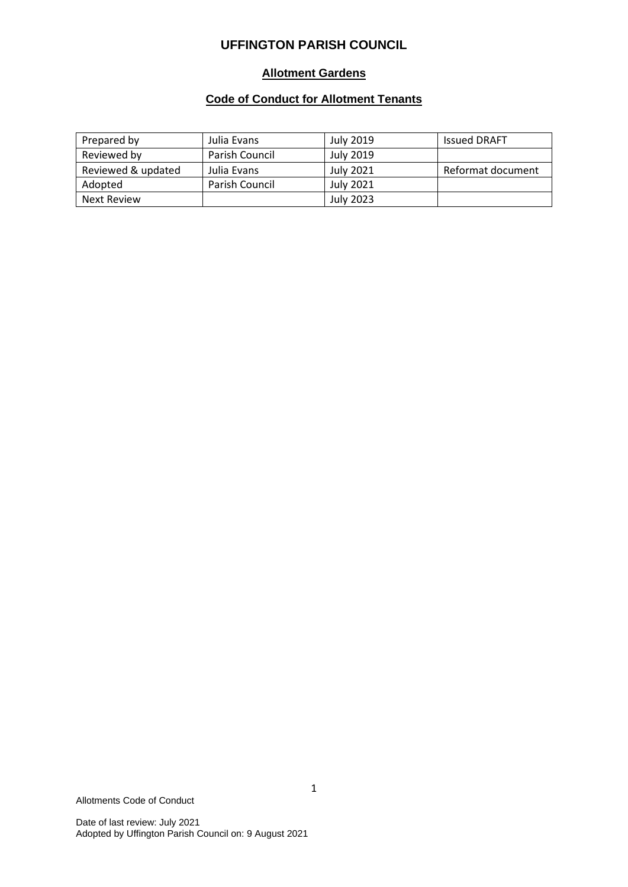### **Allotment Gardens**

# **Code of Conduct for Allotment Tenants**

| Prepared by        | Julia Evans           | <b>July 2019</b> | <b>Issued DRAFT</b> |
|--------------------|-----------------------|------------------|---------------------|
| Reviewed by        | <b>Parish Council</b> | July 2019        |                     |
| Reviewed & updated | Julia Evans           | <b>July 2021</b> | Reformat document   |
| Adopted            | Parish Council        | July 2021        |                     |
| Next Review        |                       | July 2023        |                     |

Allotments Code of Conduct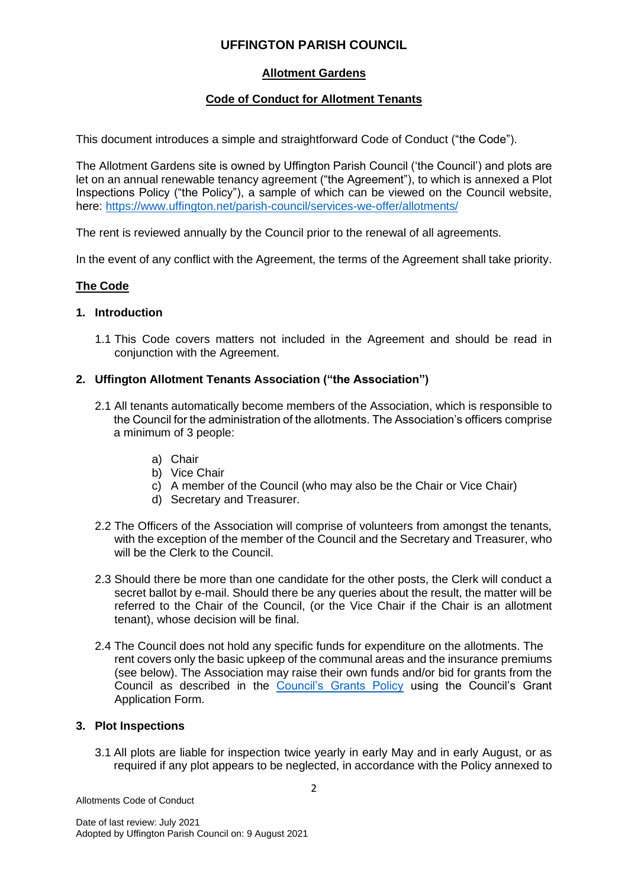## **Allotment Gardens**

# **Code of Conduct for Allotment Tenants**

This document introduces a simple and straightforward Code of Conduct ("the Code").

The Allotment Gardens site is owned by Uffington Parish Council ('the Council') and plots are let on an annual renewable tenancy agreement ("the Agreement"), to which is annexed a Plot Inspections Policy ("the Policy"), a sample of which can be viewed on the Council website, here:<https://www.uffington.net/parish-council/services-we-offer/allotments/>

The rent is reviewed annually by the Council prior to the renewal of all agreements.

In the event of any conflict with the Agreement, the terms of the Agreement shall take priority.

## **The Code**

#### **1. Introduction**

1.1 This Code covers matters not included in the Agreement and should be read in conjunction with the Agreement.

### **2. Uffington Allotment Tenants Association ("the Association")**

- 2.1 All tenants automatically become members of the Association, which is responsible to the Council for the administration of the allotments. The Association's officers comprise a minimum of 3 people:
	- a) Chair
	- b) Vice Chair
	- c) A member of the Council (who may also be the Chair or Vice Chair)
	- d) Secretary and Treasurer.
- 2.2 The Officers of the Association will comprise of volunteers from amongst the tenants, with the exception of the member of the Council and the Secretary and Treasurer, who will be the Clerk to the Council.
- 2.3 Should there be more than one candidate for the other posts, the Clerk will conduct a secret ballot by e-mail. Should there be any queries about the result, the matter will be referred to the Chair of the Council, (or the Vice Chair if the Chair is an allotment tenant), whose decision will be final.
- 2.4 The Council does not hold any specific funds for expenditure on the allotments. The rent covers only the basic upkeep of the communal areas and the insurance premiums (see below). The Association may raise their own funds and/or bid for grants from the Council as described in the [Council's Grants Policy](https://www.uffington.net/app/download/9626262/Grants+policy+January+2020.pdf) using the Council's Grant Application Form.

### **3. Plot Inspections**

3.1 All plots are liable for inspection twice yearly in early May and in early August, or as required if any plot appears to be neglected, in accordance with the Policy annexed to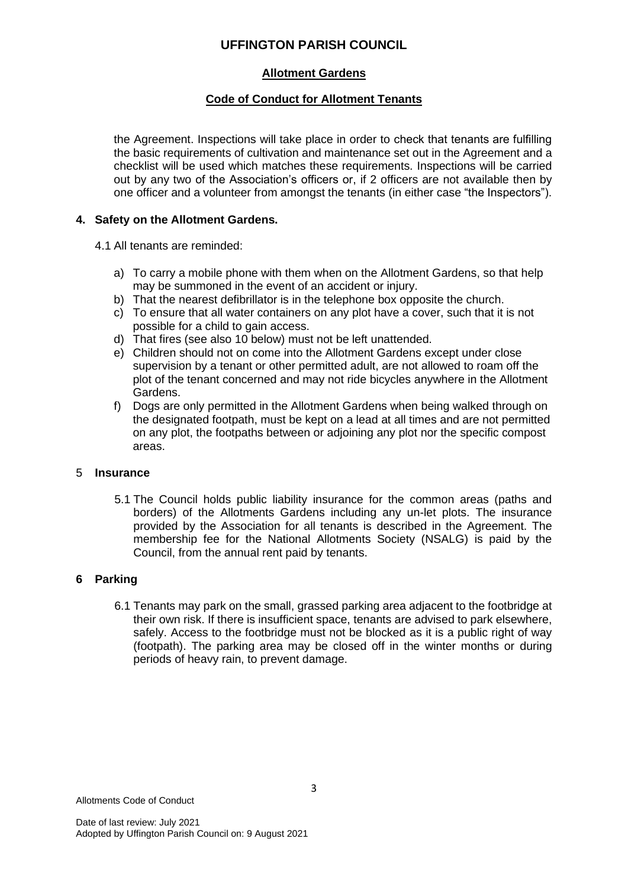### **Allotment Gardens**

## **Code of Conduct for Allotment Tenants**

the Agreement. Inspections will take place in order to check that tenants are fulfilling the basic requirements of cultivation and maintenance set out in the Agreement and a checklist will be used which matches these requirements. Inspections will be carried out by any two of the Association's officers or, if 2 officers are not available then by one officer and a volunteer from amongst the tenants (in either case "the Inspectors").

### **4. Safety on the Allotment Gardens.**

4.1 All tenants are reminded:

- a) To carry a mobile phone with them when on the Allotment Gardens, so that help may be summoned in the event of an accident or injury.
- b) That the nearest defibrillator is in the telephone box opposite the church.
- c) To ensure that all water containers on any plot have a cover, such that it is not possible for a child to gain access.
- d) That fires (see also 10 below) must not be left unattended.
- e) Children should not on come into the Allotment Gardens except under close supervision by a tenant or other permitted adult, are not allowed to roam off the plot of the tenant concerned and may not ride bicycles anywhere in the Allotment Gardens.
- f) Dogs are only permitted in the Allotment Gardens when being walked through on the designated footpath, must be kept on a lead at all times and are not permitted on any plot, the footpaths between or adjoining any plot nor the specific compost areas.

### 5 **Insurance**

5.1 The Council holds public liability insurance for the common areas (paths and borders) of the Allotments Gardens including any un-let plots. The insurance provided by the Association for all tenants is described in the Agreement. The membership fee for the National Allotments Society (NSALG) is paid by the Council, from the annual rent paid by tenants.

# **6 Parking**

6.1 Tenants may park on the small, grassed parking area adjacent to the footbridge at their own risk. If there is insufficient space, tenants are advised to park elsewhere, safely. Access to the footbridge must not be blocked as it is a public right of way (footpath). The parking area may be closed off in the winter months or during periods of heavy rain, to prevent damage.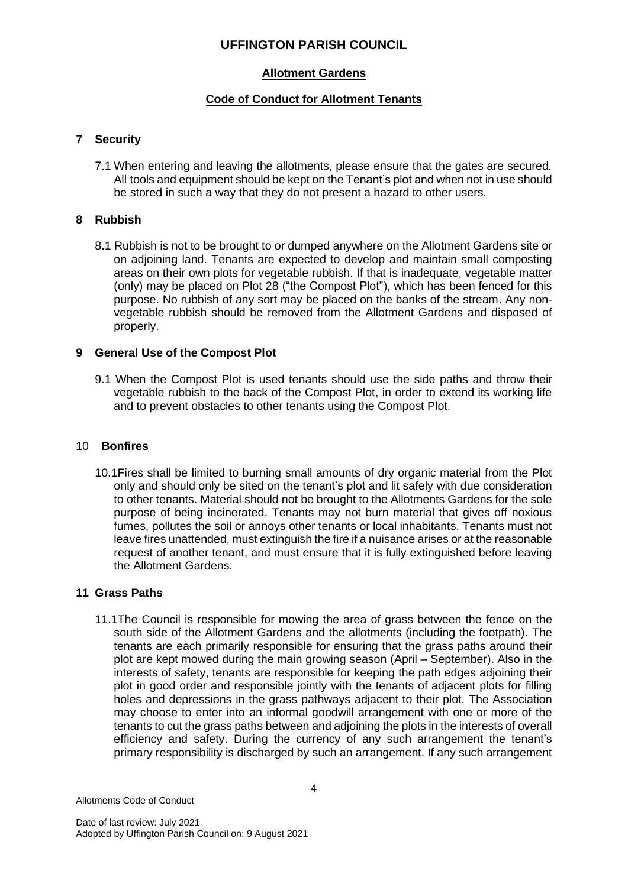### **Allotment Gardens**

### **Code of Conduct for Allotment Tenants**

### **7 Security**

7.1 When entering and leaving the allotments, please ensure that the gates are secured. All tools and equipment should be kept on the Tenant's plot and when not in use should be stored in such a way that they do not present a hazard to other users.

### **8 Rubbish**

8.1 Rubbish is not to be brought to or dumped anywhere on the Allotment Gardens site or on adjoining land. Tenants are expected to develop and maintain small composting areas on their own plots for vegetable rubbish. If that is inadequate, vegetable matter (only) may be placed on Plot 28 ("the Compost Plot"), which has been fenced for this purpose. No rubbish of any sort may be placed on the banks of the stream. Any nonvegetable rubbish should be removed from the Allotment Gardens and disposed of properly.

### **9 General Use of the Compost Plot**

9.1 When the Compost Plot is used tenants should use the side paths and throw their vegetable rubbish to the back of the Compost Plot, in order to extend its working life and to prevent obstacles to other tenants using the Compost Plot.

#### 10 **Bonfires**

10.1Fires shall be limited to burning small amounts of dry organic material from the Plot only and should only be sited on the tenant's plot and lit safely with due consideration to other tenants. Material should not be brought to the Allotments Gardens for the sole purpose of being incinerated. Tenants may not burn material that gives off noxious fumes, pollutes the soil or annoys other tenants or local inhabitants. Tenants must not leave fires unattended, must extinguish the fire if a nuisance arises or at the reasonable request of another tenant, and must ensure that it is fully extinguished before leaving the Allotment Gardens.

### **11 Grass Paths**

11.1The Council is responsible for mowing the area of grass between the fence on the south side of the Allotment Gardens and the allotments (including the footpath). The tenants are each primarily responsible for ensuring that the grass paths around their plot are kept mowed during the main growing season (April – September). Also in the interests of safety, tenants are responsible for keeping the path edges adjoining their plot in good order and responsible jointly with the tenants of adjacent plots for filling holes and depressions in the grass pathways adjacent to their plot. The Association may choose to enter into an informal goodwill arrangement with one or more of the tenants to cut the grass paths between and adjoining the plots in the interests of overall efficiency and safety. During the currency of any such arrangement the tenant's primary responsibility is discharged by such an arrangement. If any such arrangement